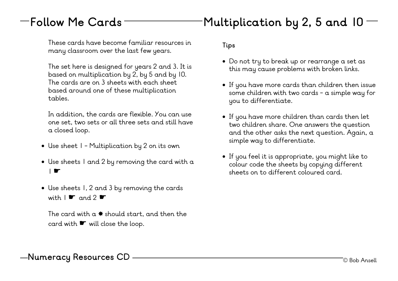## $-$  Follow Me Cards  $\blacksquare$ Multiplication by 2, 5 and 10  $-$

These cards have become familiar resources in many classroom over the last few years.

The set here is designed for years 2 and 3. It is based on multiplication by 2, by 5 and by 10. The cards are on 3 sheets with each sheet based around one of these multiplication tables.

In addition, the cards are flexible. You can use one set, two sets or all three sets and still have a closed loop.

- Use sheet 1 Multiplication by 2 on its own
- Use sheets 1 and 2 by removing the card with a । ≪ा
- Use sheets 1, 2 and 3 by removing the cards with  $1 \cdot \sigma$  and  $2 \cdot \sigma$

The card with  $a$   $*$  should start, and then the card with ☛ will close the loop.

**Tips**

- Do not try to break up or rearrange a set as this may cause problems with broken links.
- If you have more cards than children then issue some children with two cards - a simple way for you to differentiate.
- If you have more children than cards then let two children share. One answers the question and the other asks the next question. Again, a simple way to differentiate.
- If you feel it is appropriate, you might like to colour code the sheets by copying different sheets on to different coloured card.

—Numeracy Resources CD ————————————————————————————————— © Bob Ansell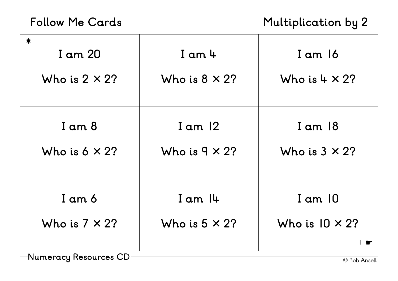| -Follow Me Cards <sup>.</sup> |  |  |
|-------------------------------|--|--|
|-------------------------------|--|--|

| -Follow Me Cards                          |                                      | Multiplication by $2-$                         |
|-------------------------------------------|--------------------------------------|------------------------------------------------|
| $\ast$<br>I am 20<br>Who is $2 \times 2?$ | $I$ am $4$<br>Who is $8 \times 2?$   | I am 16<br>Who is $4 \times 2?$                |
| $I$ am $8$<br>Who is $6 \times 2?$        | I am $12$<br>Who is $9 \times 2?$    | $I$ am $18$<br>Who is $3 \times 2?$            |
| I am 6<br>Who is $7 \times 2?$            | $I$ am $I$ 4<br>Who is $5 \times 2?$ | $I$ am $I$ 0<br>Who is $10 \times 2?$<br>▎▗\$▔ |

—Numeracy Resources CD ———————————————————————— © Bob Ansell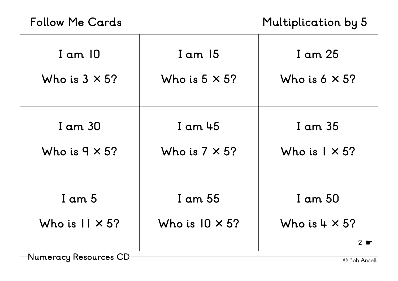## **Follow Me Cards**

**Multiplication by 5**

| $I$ am $10$                                         | $I$ am $15$                       | I am 25                                         |
|-----------------------------------------------------|-----------------------------------|-------------------------------------------------|
| Who is $3 \times 5$ ?                               | Who is $5 \times 5$ ?             | Who is $6 \times 5$ ?                           |
| I am 30                                             | I am 45                           | I am 35                                         |
| Who is $9 \times 5$ ?                               | Who is $7 \times 5?$              | Who is $1 \times 5$ ?                           |
| $I$ am $5$<br>Who is $11 \times 5?$<br>$\mathsf{N}$ | I am 55<br>Who is $10 \times 5$ ? | I am 50<br>Who is $4 \times 5$ ?<br>$2 \bullet$ |

—Numeracy Resources CD ————————————————————————— © Bob Ansell